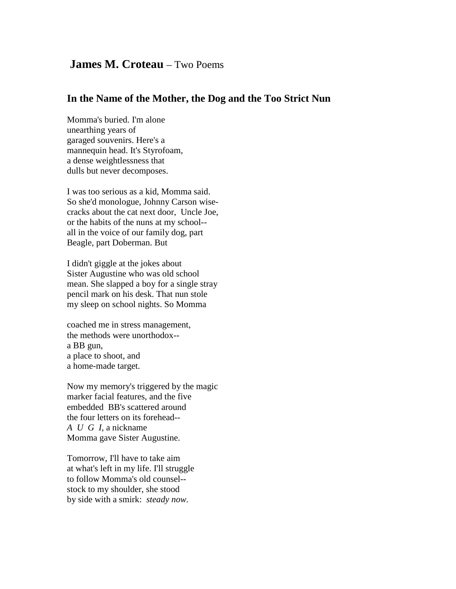## **James M. Croteau** – Two Poems

## **In the Name of the Mother, the Dog and the Too Strict Nun**

Momma's buried. I'm alone unearthing years of garaged souvenirs. Here's a mannequin head. It's Styrofoam, a dense weightlessness that dulls but never decomposes.

I was too serious as a kid, Momma said. So she'd monologue, Johnny Carson wisecracks about the cat next door, Uncle Joe, or the habits of the nuns at my school- all in the voice of our family dog, part Beagle, part Doberman. But

I didn't giggle at the jokes about Sister Augustine who was old school mean. She slapped a boy for a single stray pencil mark on his desk. That nun stole my sleep on school nights. So Momma

coached me in stress management, the methods were unorthodox- a BB gun, a place to shoot, and a home-made target.

Now my memory's triggered by the magic marker facial features, and the five embedded BB's scattered around the four letters on its forehead-- *A U G I*, a nickname Momma gave Sister Augustine.

Tomorrow, I'll have to take aim at what's left in my life. I'll struggle to follow Momma's old counsel- stock to my shoulder, she stood by side with a smirk: *steady now.*